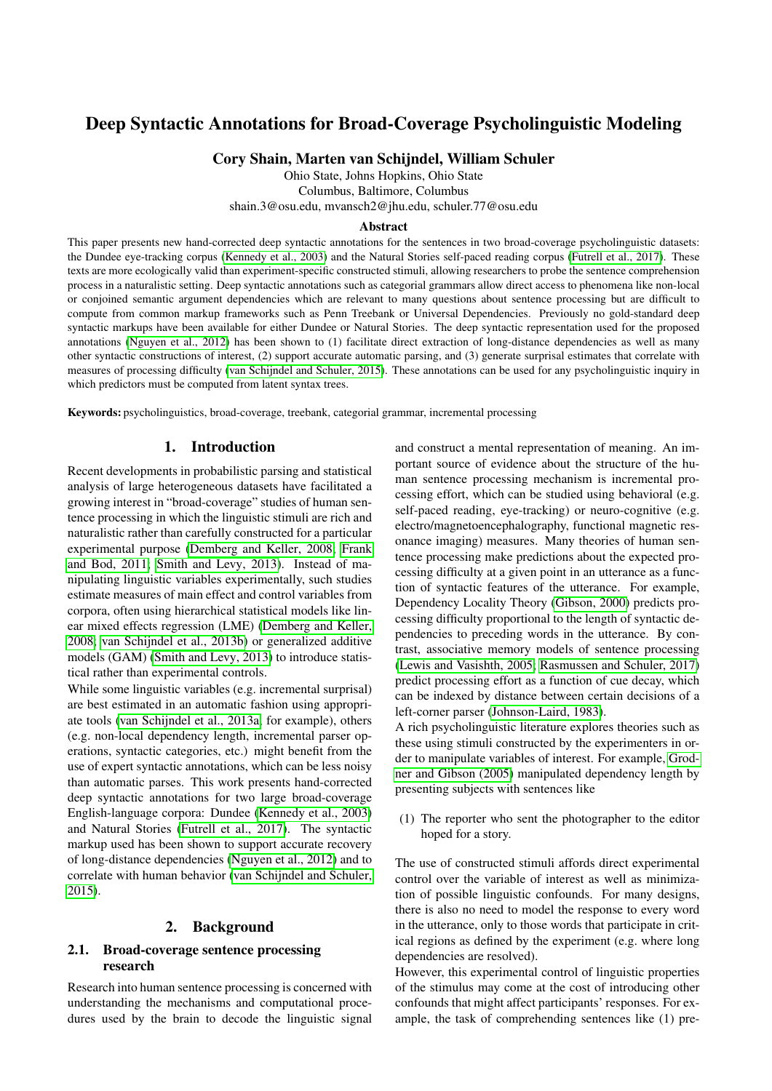# Deep Syntactic Annotations for Broad-Coverage Psycholinguistic Modeling

Cory Shain, Marten van Schijndel, William Schuler

Ohio State, Johns Hopkins, Ohio State Columbus, Baltimore, Columbus shain.3@osu.edu, mvansch2@jhu.edu, schuler.77@osu.edu

#### Abstract

This paper presents new hand-corrected deep syntactic annotations for the sentences in two broad-coverage psycholinguistic datasets: the Dundee eye-tracking corpus [\(Kennedy et al., 2003\)](#page-3-0) and the Natural Stories self-paced reading corpus [\(Futrell et al., 2017\)](#page-3-1). These texts are more ecologically valid than experiment-specific constructed stimuli, allowing researchers to probe the sentence comprehension process in a naturalistic setting. Deep syntactic annotations such as categorial grammars allow direct access to phenomena like non-local or conjoined semantic argument dependencies which are relevant to many questions about sentence processing but are difficult to compute from common markup frameworks such as Penn Treebank or Universal Dependencies. Previously no gold-standard deep syntactic markups have been available for either Dundee or Natural Stories. The deep syntactic representation used for the proposed annotations [\(Nguyen et al., 2012\)](#page-4-0) has been shown to (1) facilitate direct extraction of long-distance dependencies as well as many other syntactic constructions of interest, (2) support accurate automatic parsing, and (3) generate surprisal estimates that correlate with measures of processing difficulty [\(van Schijndel and Schuler, 2015\)](#page-4-1). These annotations can be used for any psycholinguistic inquiry in which predictors must be computed from latent syntax trees.

Keywords: psycholinguistics, broad-coverage, treebank, categorial grammar, incremental processing

## 1. Introduction

Recent developments in probabilistic parsing and statistical analysis of large heterogeneous datasets have facilitated a growing interest in "broad-coverage" studies of human sentence processing in which the linguistic stimuli are rich and naturalistic rather than carefully constructed for a particular experimental purpose [\(Demberg and Keller, 2008;](#page-3-2) [Frank](#page-3-3) [and Bod, 2011;](#page-3-3) [Smith and Levy, 2013\)](#page-4-2). Instead of manipulating linguistic variables experimentally, such studies estimate measures of main effect and control variables from corpora, often using hierarchical statistical models like linear mixed effects regression (LME) [\(Demberg and Keller,](#page-3-2) [2008;](#page-3-2) [van Schijndel et al., 2013b\)](#page-4-3) or generalized additive models (GAM) [\(Smith and Levy, 2013\)](#page-4-2) to introduce statistical rather than experimental controls.

While some linguistic variables (e.g. incremental surprisal) are best estimated in an automatic fashion using appropriate tools [\(van Schijndel et al., 2013a,](#page-4-4) for example), others (e.g. non-local dependency length, incremental parser operations, syntactic categories, etc.) might benefit from the use of expert syntactic annotations, which can be less noisy than automatic parses. This work presents hand-corrected deep syntactic annotations for two large broad-coverage English-language corpora: Dundee [\(Kennedy et al., 2003\)](#page-3-0) and Natural Stories [\(Futrell et al., 2017\)](#page-3-1). The syntactic markup used has been shown to support accurate recovery of long-distance dependencies [\(Nguyen et al., 2012\)](#page-4-0) and to correlate with human behavior [\(van Schijndel and Schuler,](#page-4-1) [2015\)](#page-4-1).

## 2. Background

## 2.1. Broad-coverage sentence processing research

Research into human sentence processing is concerned with understanding the mechanisms and computational procedures used by the brain to decode the linguistic signal and construct a mental representation of meaning. An important source of evidence about the structure of the human sentence processing mechanism is incremental processing effort, which can be studied using behavioral (e.g. self-paced reading, eye-tracking) or neuro-cognitive (e.g. electro/magnetoencephalography, functional magnetic resonance imaging) measures. Many theories of human sentence processing make predictions about the expected processing difficulty at a given point in an utterance as a function of syntactic features of the utterance. For example, Dependency Locality Theory [\(Gibson, 2000\)](#page-3-4) predicts processing difficulty proportional to the length of syntactic dependencies to preceding words in the utterance. By contrast, associative memory models of sentence processing [\(Lewis and Vasishth, 2005;](#page-4-5) [Rasmussen and Schuler, 2017\)](#page-4-6) predict processing effort as a function of cue decay, which can be indexed by distance between certain decisions of a left-corner parser [\(Johnson-Laird, 1983\)](#page-3-5).

A rich psycholinguistic literature explores theories such as these using stimuli constructed by the experimenters in order to manipulate variables of interest. For example, [Grod](#page-3-6)[ner and Gibson \(2005\)](#page-3-6) manipulated dependency length by presenting subjects with sentences like

(1) The reporter who sent the photographer to the editor hoped for a story.

The use of constructed stimuli affords direct experimental control over the variable of interest as well as minimization of possible linguistic confounds. For many designs, there is also no need to model the response to every word in the utterance, only to those words that participate in critical regions as defined by the experiment (e.g. where long dependencies are resolved).

However, this experimental control of linguistic properties of the stimulus may come at the cost of introducing other confounds that might affect participants' responses. For example, the task of comprehending sentences like (1) pre-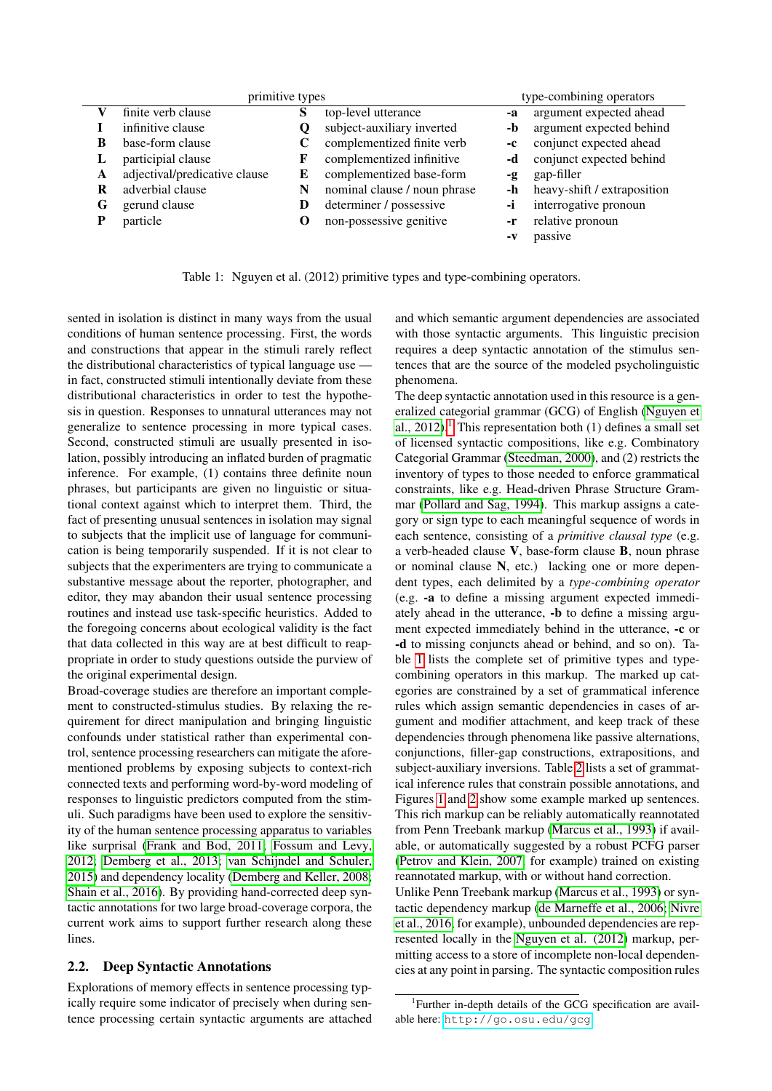|   | primitive types               |   |                              |    | type-combining operators    |
|---|-------------------------------|---|------------------------------|----|-----------------------------|
|   | finite verb clause            | S | top-level utterance          | -a | argument expected ahead     |
|   | infinitive clause             |   | subject-auxiliary inverted   | -b | argument expected behind    |
| B | base-form clause              |   | complementized finite verb   | -c | conjunct expected ahead     |
| L | participial clause            |   | complementized infinitive    | -d | conjunct expected behind    |
| A | adjectival/predicative clause | E | complementized base-form     | -g | gap-filler                  |
| R | adverbial clause              | N | nominal clause / noun phrase | -h | heavy-shift / extraposition |
| G | gerund clause                 | D | determiner / possessive      | -ì | interrogative pronoun       |
| D | particle                      |   | non-possessive genitive      | -r | relative pronoun            |
|   |                               |   |                              |    | passive                     |

<span id="page-1-1"></span>Table 1: Nguyen et al. (2012) primitive types and type-combining operators.

sented in isolation is distinct in many ways from the usual conditions of human sentence processing. First, the words and constructions that appear in the stimuli rarely reflect the distributional characteristics of typical language use in fact, constructed stimuli intentionally deviate from these distributional characteristics in order to test the hypothesis in question. Responses to unnatural utterances may not generalize to sentence processing in more typical cases. Second, constructed stimuli are usually presented in isolation, possibly introducing an inflated burden of pragmatic inference. For example, (1) contains three definite noun phrases, but participants are given no linguistic or situational context against which to interpret them. Third, the fact of presenting unusual sentences in isolation may signal to subjects that the implicit use of language for communication is being temporarily suspended. If it is not clear to subjects that the experimenters are trying to communicate a substantive message about the reporter, photographer, and editor, they may abandon their usual sentence processing routines and instead use task-specific heuristics. Added to the foregoing concerns about ecological validity is the fact that data collected in this way are at best difficult to reappropriate in order to study questions outside the purview of the original experimental design.

Broad-coverage studies are therefore an important complement to constructed-stimulus studies. By relaxing the requirement for direct manipulation and bringing linguistic confounds under statistical rather than experimental control, sentence processing researchers can mitigate the aforementioned problems by exposing subjects to context-rich connected texts and performing word-by-word modeling of responses to linguistic predictors computed from the stimuli. Such paradigms have been used to explore the sensitivity of the human sentence processing apparatus to variables like surprisal [\(Frank and Bod, 2011;](#page-3-3) [Fossum and Levy,](#page-3-7) [2012;](#page-3-7) [Demberg et al., 2013;](#page-3-8) [van Schijndel and Schuler,](#page-4-1) [2015\)](#page-4-1) and dependency locality [\(Demberg and Keller, 2008;](#page-3-2) [Shain et al., 2016\)](#page-4-7). By providing hand-corrected deep syntactic annotations for two large broad-coverage corpora, the current work aims to support further research along these lines.

## 2.2. Deep Syntactic Annotations

Explorations of memory effects in sentence processing typically require some indicator of precisely when during sentence processing certain syntactic arguments are attached and which semantic argument dependencies are associated with those syntactic arguments. This linguistic precision requires a deep syntactic annotation of the stimulus sentences that are the source of the modeled psycholinguistic phenomena.

The deep syntactic annotation used in this resource is a generalized categorial grammar (GCG) of English [\(Nguyen et](#page-4-0) [al., 2012\)](#page-4-0).<sup>[1](#page-1-0)</sup> This representation both (1) defines a small set of licensed syntactic compositions, like e.g. Combinatory Categorial Grammar [\(Steedman, 2000\)](#page-4-8), and (2) restricts the inventory of types to those needed to enforce grammatical constraints, like e.g. Head-driven Phrase Structure Grammar [\(Pollard and Sag, 1994\)](#page-4-9). This markup assigns a category or sign type to each meaningful sequence of words in each sentence, consisting of a *primitive clausal type* (e.g. a verb-headed clause V, base-form clause B, noun phrase or nominal clause N, etc.) lacking one or more dependent types, each delimited by a *type-combining operator* (e.g. -a to define a missing argument expected immediately ahead in the utterance, -b to define a missing argument expected immediately behind in the utterance, -c or -d to missing conjuncts ahead or behind, and so on). Table [1](#page-1-1) lists the complete set of primitive types and typecombining operators in this markup. The marked up categories are constrained by a set of grammatical inference rules which assign semantic dependencies in cases of argument and modifier attachment, and keep track of these dependencies through phenomena like passive alternations, conjunctions, filler-gap constructions, extrapositions, and subject-auxiliary inversions. Table [2](#page-2-0) lists a set of grammatical inference rules that constrain possible annotations, and Figures [1](#page-2-1) and [2](#page-2-2) show some example marked up sentences. This rich markup can be reliably automatically reannotated from Penn Treebank markup [\(Marcus et al., 1993\)](#page-4-10) if available, or automatically suggested by a robust PCFG parser [\(Petrov and Klein, 2007,](#page-4-11) for example) trained on existing reannotated markup, with or without hand correction.

Unlike Penn Treebank markup [\(Marcus et al., 1993\)](#page-4-10) or syntactic dependency markup [\(de Marneffe et al., 2006;](#page-3-9) [Nivre](#page-4-12) [et al., 2016,](#page-4-12) for example), unbounded dependencies are represented locally in the [Nguyen et al. \(2012\)](#page-4-0) markup, permitting access to a store of incomplete non-local dependencies at any point in parsing. The syntactic composition rules

<span id="page-1-0"></span><sup>&</sup>lt;sup>1</sup>Further in-depth details of the GCG specification are available here: <http://go.osu.edu/gcg>.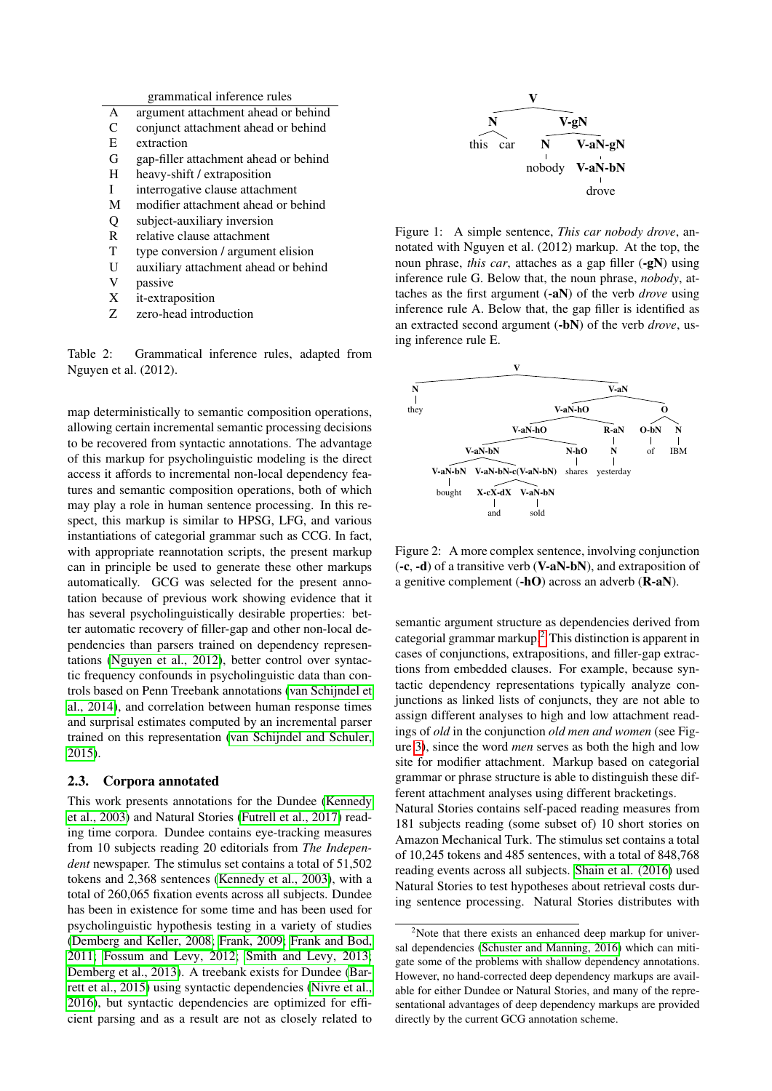| argument attachment ahead or behind<br>conjunct attachment ahead or behind<br>extraction |
|------------------------------------------------------------------------------------------|
|                                                                                          |
|                                                                                          |
|                                                                                          |
| gap-filler attachment ahead or behind                                                    |
| heavy-shift / extraposition                                                              |
| interrogative clause attachment                                                          |
| modifier attachment ahead or behind                                                      |
| subject-auxiliary inversion                                                              |
| relative clause attachment                                                               |
| type conversion / argument elision                                                       |
| auxiliary attachment ahead or behind                                                     |
| passive                                                                                  |
| <i>it-extraposition</i>                                                                  |
| zero-head introduction                                                                   |
|                                                                                          |

<span id="page-2-0"></span>Table 2: Grammatical inference rules, adapted from Nguyen et al. (2012).

map deterministically to semantic composition operations, allowing certain incremental semantic processing decisions to be recovered from syntactic annotations. The advantage of this markup for psycholinguistic modeling is the direct access it affords to incremental non-local dependency features and semantic composition operations, both of which may play a role in human sentence processing. In this respect, this markup is similar to HPSG, LFG, and various instantiations of categorial grammar such as CCG. In fact, with appropriate reannotation scripts, the present markup can in principle be used to generate these other markups automatically. GCG was selected for the present annotation because of previous work showing evidence that it has several psycholinguistically desirable properties: better automatic recovery of filler-gap and other non-local dependencies than parsers trained on dependency representations [\(Nguyen et al., 2012\)](#page-4-0), better control over syntactic frequency confounds in psycholinguistic data than controls based on Penn Treebank annotations [\(van Schijndel et](#page-4-13) [al., 2014\)](#page-4-13), and correlation between human response times and surprisal estimates computed by an incremental parser trained on this representation [\(van Schijndel and Schuler,](#page-4-1) [2015\)](#page-4-1).

#### 2.3. Corpora annotated

This work presents annotations for the Dundee [\(Kennedy](#page-3-0) [et al., 2003\)](#page-3-0) and Natural Stories [\(Futrell et al., 2017\)](#page-3-1) reading time corpora. Dundee contains eye-tracking measures from 10 subjects reading 20 editorials from *The Independent* newspaper. The stimulus set contains a total of 51,502 tokens and 2,368 sentences [\(Kennedy et al., 2003\)](#page-3-0), with a total of 260,065 fixation events across all subjects. Dundee has been in existence for some time and has been used for psycholinguistic hypothesis testing in a variety of studies [\(Demberg and Keller, 2008;](#page-3-2) [Frank, 2009;](#page-3-10) [Frank and Bod,](#page-3-3) [2011;](#page-3-3) [Fossum and Levy, 2012;](#page-3-7) [Smith and Levy, 2013;](#page-4-2) [Demberg et al., 2013\)](#page-3-8). A treebank exists for Dundee [\(Bar](#page-3-11)[rett et al., 2015\)](#page-3-11) using syntactic dependencies [\(Nivre et al.,](#page-4-12) [2016\)](#page-4-12), but syntactic dependencies are optimized for efficient parsing and as a result are not as closely related to



<span id="page-2-1"></span>Figure 1: A simple sentence, *This car nobody drove*, annotated with Nguyen et al. (2012) markup. At the top, the noun phrase, *this car*, attaches as a gap filler (-gN) using inference rule G. Below that, the noun phrase, *nobody*, attaches as the first argument (-aN) of the verb *drove* using inference rule A. Below that, the gap filler is identified as an extracted second argument (-bN) of the verb *drove*, using inference rule E.



<span id="page-2-2"></span>Figure 2: A more complex sentence, involving conjunction (-c, -d) of a transitive verb (V-aN-bN), and extraposition of a genitive complement (-hO) across an adverb (R-aN).

semantic argument structure as dependencies derived from categorial grammar markup.[2](#page-2-3) This distinction is apparent in cases of conjunctions, extrapositions, and filler-gap extractions from embedded clauses. For example, because syntactic dependency representations typically analyze conjunctions as linked lists of conjuncts, they are not able to assign different analyses to high and low attachment readings of *old* in the conjunction *old men and women* (see Figure [3\)](#page-3-12), since the word *men* serves as both the high and low site for modifier attachment. Markup based on categorial grammar or phrase structure is able to distinguish these different attachment analyses using different bracketings.

Natural Stories contains self-paced reading measures from 181 subjects reading (some subset of) 10 short stories on Amazon Mechanical Turk. The stimulus set contains a total of 10,245 tokens and 485 sentences, with a total of 848,768 reading events across all subjects. [Shain et al. \(2016\)](#page-4-7) used Natural Stories to test hypotheses about retrieval costs during sentence processing. Natural Stories distributes with

<span id="page-2-3"></span><sup>&</sup>lt;sup>2</sup>Note that there exists an enhanced deep markup for universal dependencies [\(Schuster and Manning, 2016\)](#page-4-14) which can mitigate some of the problems with shallow dependency annotations. However, no hand-corrected deep dependency markups are available for either Dundee or Natural Stories, and many of the representational advantages of deep dependency markups are provided directly by the current GCG annotation scheme.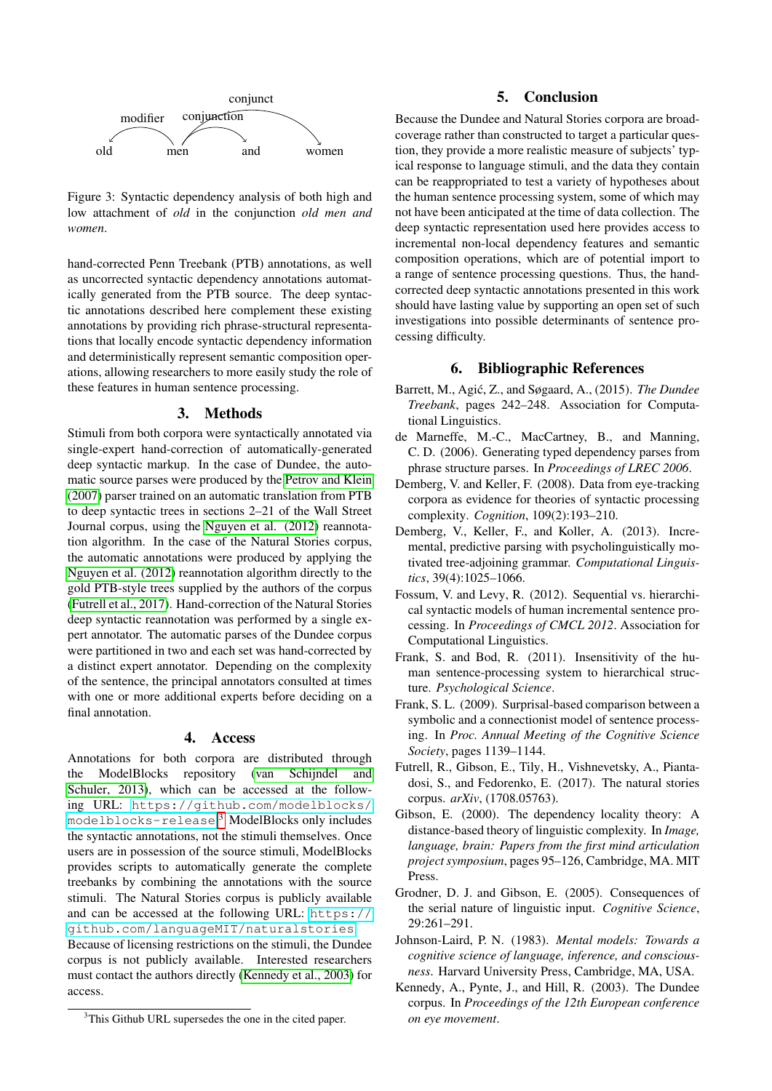

<span id="page-3-12"></span>Figure 3: Syntactic dependency analysis of both high and low attachment of *old* in the conjunction *old men and women*.

hand-corrected Penn Treebank (PTB) annotations, as well as uncorrected syntactic dependency annotations automatically generated from the PTB source. The deep syntactic annotations described here complement these existing annotations by providing rich phrase-structural representations that locally encode syntactic dependency information and deterministically represent semantic composition operations, allowing researchers to more easily study the role of these features in human sentence processing.

#### 3. Methods

Stimuli from both corpora were syntactically annotated via single-expert hand-correction of automatically-generated deep syntactic markup. In the case of Dundee, the automatic source parses were produced by the [Petrov and Klein](#page-4-11) [\(2007\)](#page-4-11) parser trained on an automatic translation from PTB to deep syntactic trees in sections 2–21 of the Wall Street Journal corpus, using the [Nguyen et al. \(2012\)](#page-4-0) reannotation algorithm. In the case of the Natural Stories corpus, the automatic annotations were produced by applying the [Nguyen et al. \(2012\)](#page-4-0) reannotation algorithm directly to the gold PTB-style trees supplied by the authors of the corpus [\(Futrell et al., 2017\)](#page-3-1). Hand-correction of the Natural Stories deep syntactic reannotation was performed by a single expert annotator. The automatic parses of the Dundee corpus were partitioned in two and each set was hand-corrected by a distinct expert annotator. Depending on the complexity of the sentence, the principal annotators consulted at times with one or more additional experts before deciding on a final annotation.

#### 4. Access

Annotations for both corpora are distributed through the ModelBlocks repository [\(van Schijndel and](#page-4-15) [Schuler, 2013\)](#page-4-15), which can be accessed at the following URL: [https://github.com/modelblocks/](https://github.com/modelblocks/modelblocks-release) [modelblocks-release](https://github.com/modelblocks/modelblocks-release). [3](#page-3-13) ModelBlocks only includes the syntactic annotations, not the stimuli themselves. Once users are in possession of the source stimuli, ModelBlocks provides scripts to automatically generate the complete treebanks by combining the annotations with the source stimuli. The Natural Stories corpus is publicly available and can be accessed at the following URL: [https://](https://github.com/languageMIT/naturalstories) [github.com/languageMIT/naturalstories](https://github.com/languageMIT/naturalstories). Because of licensing restrictions on the stimuli, the Dundee corpus is not publicly available. Interested researchers must contact the authors directly [\(Kennedy et al., 2003\)](#page-3-0) for access.

<span id="page-3-13"></span><sup>3</sup>This Github URL supersedes the one in the cited paper.

## 5. Conclusion

Because the Dundee and Natural Stories corpora are broadcoverage rather than constructed to target a particular question, they provide a more realistic measure of subjects' typical response to language stimuli, and the data they contain can be reappropriated to test a variety of hypotheses about the human sentence processing system, some of which may not have been anticipated at the time of data collection. The deep syntactic representation used here provides access to incremental non-local dependency features and semantic composition operations, which are of potential import to a range of sentence processing questions. Thus, the handcorrected deep syntactic annotations presented in this work should have lasting value by supporting an open set of such investigations into possible determinants of sentence processing difficulty.

### 6. Bibliographic References

- <span id="page-3-11"></span>Barrett, M., Agić, Z., and Søgaard, A., (2015). *The Dundee Treebank*, pages 242–248. Association for Computational Linguistics.
- <span id="page-3-9"></span>de Marneffe, M.-C., MacCartney, B., and Manning, C. D. (2006). Generating typed dependency parses from phrase structure parses. In *Proceedings of LREC 2006*.
- <span id="page-3-2"></span>Demberg, V. and Keller, F. (2008). Data from eye-tracking corpora as evidence for theories of syntactic processing complexity. *Cognition*, 109(2):193–210.
- <span id="page-3-8"></span>Demberg, V., Keller, F., and Koller, A. (2013). Incremental, predictive parsing with psycholinguistically motivated tree-adjoining grammar. *Computational Linguistics*, 39(4):1025–1066.
- <span id="page-3-7"></span>Fossum, V. and Levy, R. (2012). Sequential vs. hierarchical syntactic models of human incremental sentence processing. In *Proceedings of CMCL 2012*. Association for Computational Linguistics.
- <span id="page-3-3"></span>Frank, S. and Bod, R. (2011). Insensitivity of the human sentence-processing system to hierarchical structure. *Psychological Science*.
- <span id="page-3-10"></span>Frank, S. L. (2009). Surprisal-based comparison between a symbolic and a connectionist model of sentence processing. In *Proc. Annual Meeting of the Cognitive Science Society*, pages 1139–1144.
- <span id="page-3-1"></span>Futrell, R., Gibson, E., Tily, H., Vishnevetsky, A., Piantadosi, S., and Fedorenko, E. (2017). The natural stories corpus. *arXiv*, (1708.05763).
- <span id="page-3-4"></span>Gibson, E. (2000). The dependency locality theory: A distance-based theory of linguistic complexity. In *Image, language, brain: Papers from the first mind articulation project symposium*, pages 95–126, Cambridge, MA. MIT Press.
- <span id="page-3-6"></span>Grodner, D. J. and Gibson, E. (2005). Consequences of the serial nature of linguistic input. *Cognitive Science*, 29:261–291.
- <span id="page-3-5"></span>Johnson-Laird, P. N. (1983). *Mental models: Towards a cognitive science of language, inference, and consciousness*. Harvard University Press, Cambridge, MA, USA.
- <span id="page-3-0"></span>Kennedy, A., Pynte, J., and Hill, R. (2003). The Dundee corpus. In *Proceedings of the 12th European conference on eye movement*.